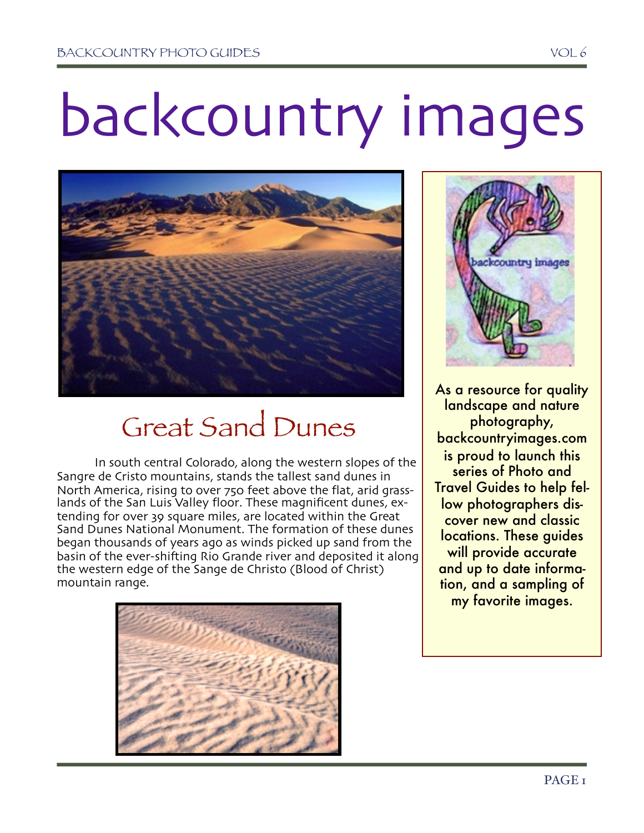# backcountry images



## Great Sand Dunes

In south central Colorado, along the western slopes of the Sangre de Cristo mountains, stands the tallest sand dunes in North America, rising to over 750 feet above the flat, arid grasslands of the San Luis Valley floor. These magnificent dunes, extending for over 39 square miles, are located within the Great Sand Dunes National Monument. The formation of these dunes began thousands of years ago as winds picked up sand from the basin of the ever-shifting Rio Grande river and deposited it along the western edge of the Sange de Christo (Blood of Christ) mountain range.





As a resource for quality landscape and nature photography, backcountryimages.com is proud to launch this series of Photo and Travel Guides to help fellow photographers discover new and classic locations. These guides will provide accurate and up to date information, and a sampling of my favorite images.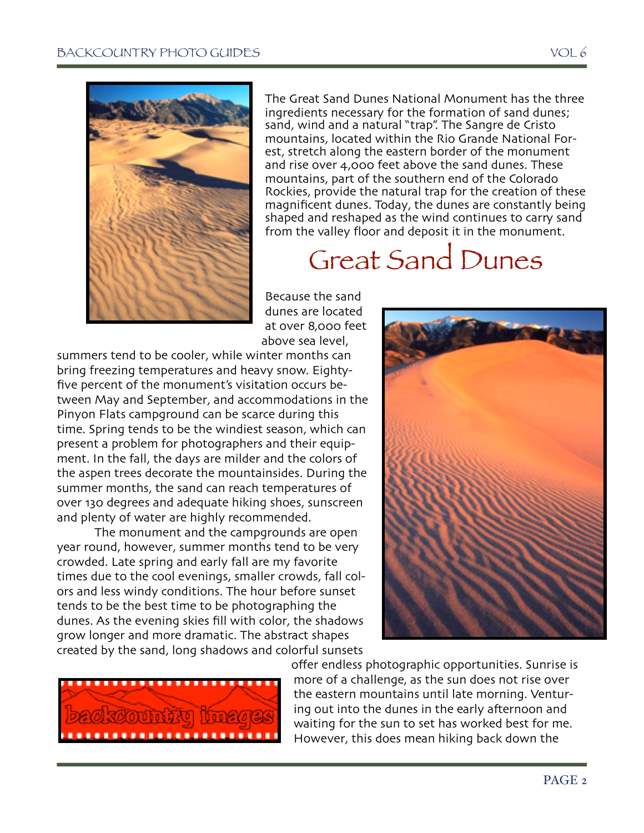

The Great Sand Dunes National Monument has the three ingredients necessary for the formation of sand dunes; sand, wind and a natural "trap". The Sangre de Cristo est, stretch along the eastern border of the monument and rise over 4,000 feet above the sand dunes. These mountains, part of the southern end of the Colorado Rockies, provide the natural trap for the creation of these magnificent dunes. Today, the dunes are constantly being shaped and reshaped as the wind continues to carry sand from the valley floor and deposit it in the monument.

## Great Sand Dunes

Because the sand dunes are located at over 8,000 feet above sea level,

summers tend to be cooler, while winter months can bring freezing temperatures and heavy snow. Eightyfive percent of the monument's visitation occurs between May and September, and accommodations in the Pinyon Flats campground can be scarce during this time. Spring tends to be the windiest season, which can present a problem for photographers and their equipment. In the fall, the days are milder and the colors of the aspen trees decorate the mountainsides. During the summer months, the sand can reach temperatures of over 130 degrees and adequate hiking shoes, sunscreen and plenty of water are highly recommended.

The monument and the campgrounds are open year round, however, summer months tend to be very crowded. Late spring and early fall are my favorite times due to the cool evenings, smaller crowds, fall colors and less windy conditions. The hour before sunset tends to be the best time to be photographing the dunes. As the evening skies fill with color, the shadows grow longer and more dramatic. The abstract shapes created by the sand, long shadows and colorful sunsets





offer endless photographic opportunities. Sunrise is more of a challenge, as the sun does not rise over the eastern mountains until late morning. Venturing out into the dunes in the early afternoon and waiting for the sun to set has worked best for me. However, this does mean hiking back down the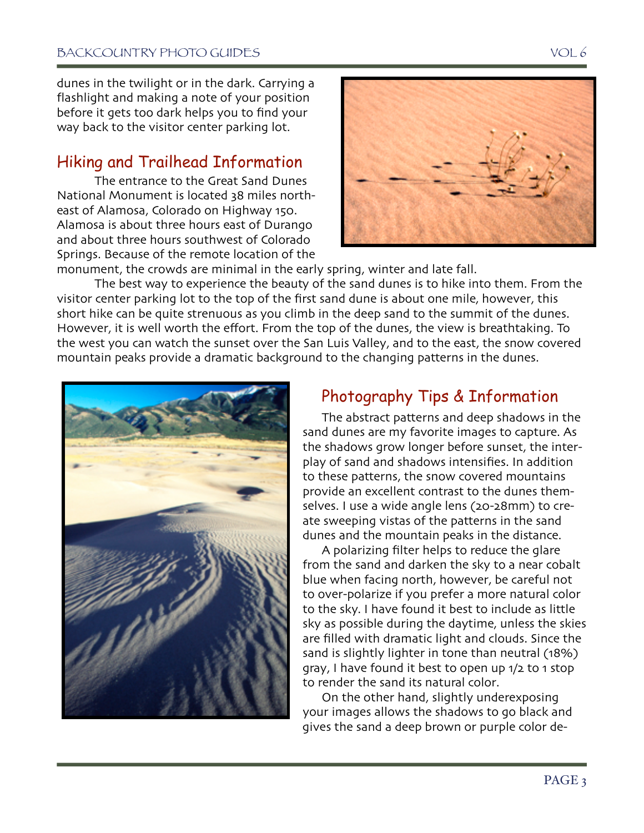dunes in the twilight or in the dark. Carrying a flashlight and making a note of your position before it gets too dark helps you to find your way back to the visitor center parking lot.

#### Hiking and Trailhead Information

The entrance to the Great Sand Dunes National Monument is located 38 miles northeast of Alamosa, Colorado on Highway 150. Alamosa is about three hours east of Durango and about three hours southwest of Colorado Springs. Because of the remote location of the



monument, the crowds are minimal in the early spring, winter and late fall.

The best way to experience the beauty of the sand dunes is to hike into them. From the visitor center parking lot to the top of the first sand dune is about one mile, however, this short hike can be quite strenuous as you climb in the deep sand to the summit of the dunes. However, it is well worth the effort. From the top of the dunes, the view is breathtaking. To the west you can watch the sunset over the San Luis Valley, and to the east, the snow covered mountain peaks provide a dramatic background to the changing patterns in the dunes.



### Photography Tips & Information

The abstract patterns and deep shadows in the sand dunes are my favorite images to capture. As the shadows grow longer before sunset, the interplay of sand and shadows intensifies. In addition to these patterns, the snow covered mountains provide an excellent contrast to the dunes themselves. I use a wide angle lens (20-28mm) to create sweeping vistas of the patterns in the sand dunes and the mountain peaks in the distance.

A polarizing filter helps to reduce the glare from the sand and darken the sky to a near cobalt blue when facing north, however, be careful not to over-polarize if you prefer a more natural color to the sky. I have found it best to include as little sky as possible during the daytime, unless the skies are filled with dramatic light and clouds. Since the sand is slightly lighter in tone than neutral (18%) gray, I have found it best to open up 1/2 to 1 stop to render the sand its natural color.

On the other hand, slightly underexposing your images allows the shadows to go black and gives the sand a deep brown or purple color de